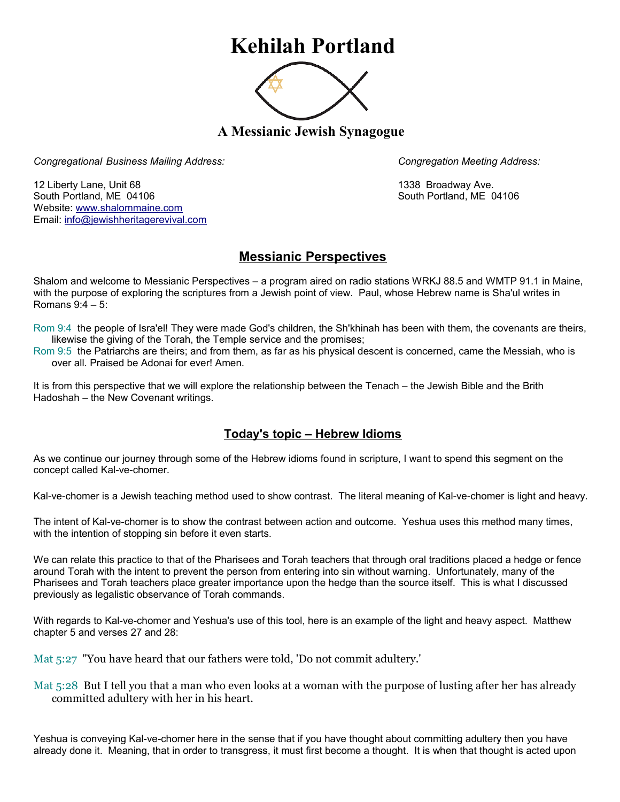## **Kehilah Portland**



**A Messianic Jewish Synagogue** 

*Congregational Business Mailing Address: Congregation Meeting Address:*

12 Liberty Lane, Unit 68 1338 Broadway Ave. South Portland, ME 04106 South Portland, ME 04106 Website: [www.shalommaine.com](http://www.shalommaine.com/) Email: [info@jewishheritagerevival.com](mailto:info@jewishheritagerevival.com) 

## **Messianic Perspectives**

Shalom and welcome to Messianic Perspectives – a program aired on radio stations WRKJ 88.5 and WMTP 91.1 in Maine, with the purpose of exploring the scriptures from a Jewish point of view. Paul, whose Hebrew name is Sha'ul writes in Romans 9:4 – 5:

Rom 9:4 the people of Isra'el! They were made God's children, the Sh'khinah has been with them, the covenants are theirs, likewise the giving of the Torah, the Temple service and the promises;

Rom 9:5 the Patriarchs are theirs; and from them, as far as his physical descent is concerned, came the Messiah, who is over all. Praised be Adonai for ever! Amen.

It is from this perspective that we will explore the relationship between the Tenach – the Jewish Bible and the Brith Hadoshah – the New Covenant writings.

## **Today's topic – Hebrew Idioms**

As we continue our journey through some of the Hebrew idioms found in scripture, I want to spend this segment on the concept called Kal-ve-chomer.

Kal-ve-chomer is a Jewish teaching method used to show contrast. The literal meaning of Kal-ve-chomer is light and heavy.

The intent of Kal-ve-chomer is to show the contrast between action and outcome. Yeshua uses this method many times, with the intention of stopping sin before it even starts.

We can relate this practice to that of the Pharisees and Torah teachers that through oral traditions placed a hedge or fence around Torah with the intent to prevent the person from entering into sin without warning. Unfortunately, many of the Pharisees and Torah teachers place greater importance upon the hedge than the source itself. This is what I discussed previously as legalistic observance of Torah commands.

With regards to Kal-ve-chomer and Yeshua's use of this tool, here is an example of the light and heavy aspect. Matthew chapter 5 and verses 27 and 28:

Mat 5:27 "You have heard that our fathers were told, 'Do not commit adultery.'

Mat 5:28 But I tell you that a man who even looks at a woman with the purpose of lusting after her has already committed adultery with her in his heart.

Yeshua is conveying Kal-ve-chomer here in the sense that if you have thought about committing adultery then you have already done it. Meaning, that in order to transgress, it must first become a thought. It is when that thought is acted upon